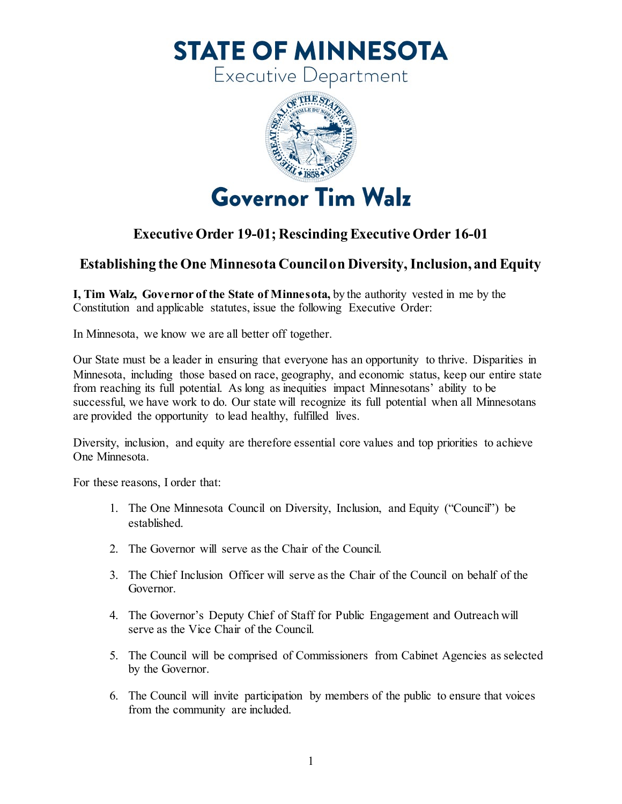**STATE OF MINNESOTA** 

**Executive Department** 



## **Executive Order 19-01; Rescinding Executive Order 16-01**

## **Establishing the One Minnesota Council on Diversity, Inclusion, and Equity**

 **I, Tim Walz, Governor of the State of Minnesota,** by the authority vested in me by the Constitution and applicable statutes, issue the following Executive Order:

In Minnesota, we know we are all better off together.

 Our State must be a leader in ensuring that everyone has an opportunity to thrive. Disparities in from reaching its full potential. As long as inequities impact Minnesotans' ability to be successful, we have work to do. Our state will recognize its full potential when all Minnesotans Minnesota, including those based on race, geography, and economic status, keep our entire state are provided the opportunity to lead healthy, fulfilled lives.

 Diversity, inclusion, and equity are therefore essential core values and top priorities to achieve One Minnesota.

For these reasons, I order that:

- 1. The One Minnesota Council on Diversity, Inclusion, and Equity ("Council") be established.
- 2. The Governor will serve as the Chair of the Council.
- 3. The Chief Inclusion Officer will serve as the Chair of the Council on behalf of the Governor.
- 4. The Governor's Deputy Chief of Staff for Public Engagement and Outreach will serve as the Vice Chair of the Council.
- 5. The Council will be comprised of Commissioners from Cabinet Agencies as selected by the Governor.
- 6. The Council will invite participation by members of the public to ensure that voices from the community are included.